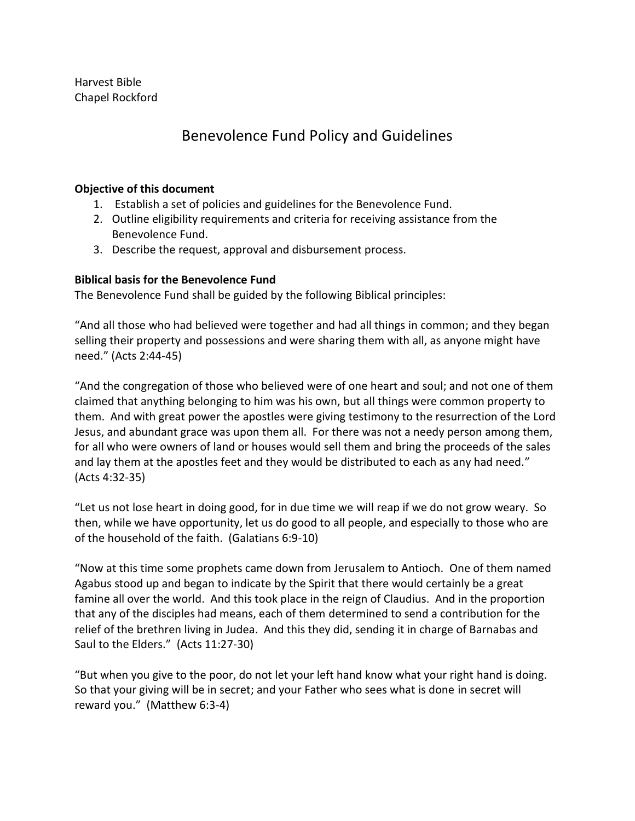Harvest Bible Chapel Rockford

# Benevolence Fund Policy and Guidelines

## **Objective of this document**

- 1. Establish a set of policies and guidelines for the Benevolence Fund.
- 2. Outline eligibility requirements and criteria for receiving assistance from the Benevolence Fund.
- 3. Describe the request, approval and disbursement process.

## **Biblical basis for the Benevolence Fund**

The Benevolence Fund shall be guided by the following Biblical principles:

"And all those who had believed were together and had all things in common; and they began selling their property and possessions and were sharing them with all, as anyone might have need." (Acts 2:44-45)

"And the congregation of those who believed were of one heart and soul; and not one of them claimed that anything belonging to him was his own, but all things were common property to them. And with great power the apostles were giving testimony to the resurrection of the Lord Jesus, and abundant grace was upon them all. For there was not a needy person among them, for all who were owners of land or houses would sell them and bring the proceeds of the sales and lay them at the apostles feet and they would be distributed to each as any had need." (Acts 4:32-35)

"Let us not lose heart in doing good, for in due time we will reap if we do not grow weary. So then, while we have opportunity, let us do good to all people, and especially to those who are of the household of the faith. (Galatians 6:9-10)

"Now at this time some prophets came down from Jerusalem to Antioch. One of them named Agabus stood up and began to indicate by the Spirit that there would certainly be a great famine all over the world. And this took place in the reign of Claudius. And in the proportion that any of the disciples had means, each of them determined to send a contribution for the relief of the brethren living in Judea. And this they did, sending it in charge of Barnabas and Saul to the Elders." (Acts 11:27-30)

"But when you give to the poor, do not let your left hand know what your right hand is doing. So that your giving will be in secret; and your Father who sees what is done in secret will reward you." (Matthew 6:3-4)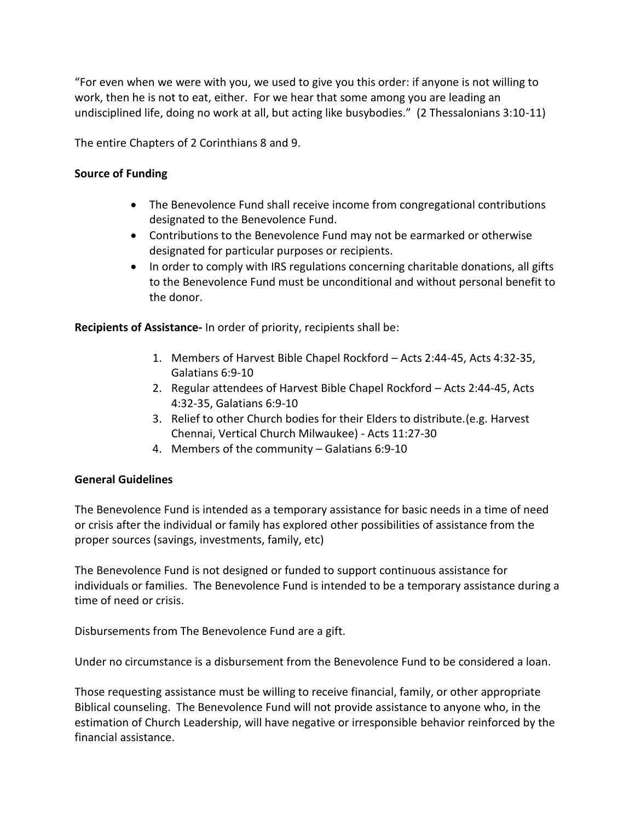"For even when we were with you, we used to give you this order: if anyone is not willing to work, then he is not to eat, either. For we hear that some among you are leading an undisciplined life, doing no work at all, but acting like busybodies." (2 Thessalonians 3:10-11)

The entire Chapters of 2 Corinthians 8 and 9.

# **Source of Funding**

- The Benevolence Fund shall receive income from congregational contributions designated to the Benevolence Fund.
- Contributions to the Benevolence Fund may not be earmarked or otherwise designated for particular purposes or recipients.
- In order to comply with IRS regulations concerning charitable donations, all gifts to the Benevolence Fund must be unconditional and without personal benefit to the donor.

**Recipients of Assistance-** In order of priority, recipients shall be:

- 1. Members of Harvest Bible Chapel Rockford Acts 2:44-45, Acts 4:32-35, Galatians 6:9-10
- 2. Regular attendees of Harvest Bible Chapel Rockford Acts 2:44-45, Acts 4:32-35, Galatians 6:9-10
- 3. Relief to other Church bodies for their Elders to distribute.(e.g. Harvest Chennai, Vertical Church Milwaukee) - Acts 11:27-30
- 4. Members of the community Galatians 6:9-10

## **General Guidelines**

The Benevolence Fund is intended as a temporary assistance for basic needs in a time of need or crisis after the individual or family has explored other possibilities of assistance from the proper sources (savings, investments, family, etc)

The Benevolence Fund is not designed or funded to support continuous assistance for individuals or families. The Benevolence Fund is intended to be a temporary assistance during a time of need or crisis.

Disbursements from The Benevolence Fund are a gift.

Under no circumstance is a disbursement from the Benevolence Fund to be considered a loan.

Those requesting assistance must be willing to receive financial, family, or other appropriate Biblical counseling. The Benevolence Fund will not provide assistance to anyone who, in the estimation of Church Leadership, will have negative or irresponsible behavior reinforced by the financial assistance.